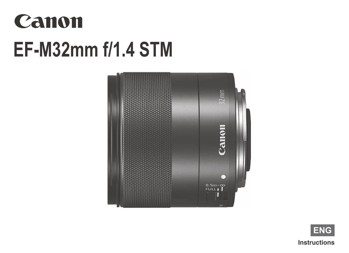# Canon **EF-M32mm f/1.4 STM**



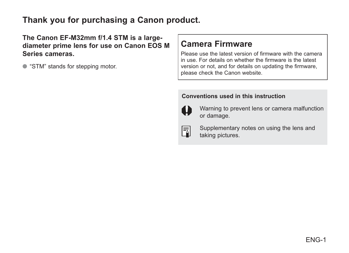#### **Thank you for purchasing a Canon product.**

**The Canon EF-M32mm f/1.4 STM is a largediameter prime lens for use on Canon EOS M Series cameras.**

● "STM" stands for stepping motor.

#### **Camera Firmware**

Please use the latest version of firmware with the camera in use For details on whether the firmware is the latest version or not, and for details on updating the firmware, please check the Canon website.

#### **Conventions used in this instruction**



Warning to prevent lens or camera malfunction or damage.



Supplementary notes on using the lens and taking pictures.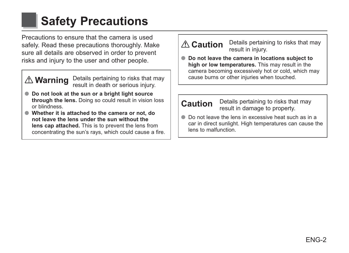### **Safety Precautions**

Precautions to ensure that the camera is used safely. Read these precautions thoroughly. Make sure all details are observed in order to prevent risks and injury to the user and other people.

**Warning** Details pertaining to risks that may result in death or serious injury.

- **Do not look at the sun or a bright light source through the lens.** Doing so could result in vision loss or blindness
- **Whether it is attached to the camera or not, do not leave the lens under the sun without the lens cap attached.** This is to prevent the lens from concentrating the sun's ravs, which could cause a fire.

#### **Caution** Details pertaining to risks that may result in injury.

 ● **Do not leave the camera in locations subject to high or low temperatures.** This may result in the camera becoming excessively hot or cold, which may cause burns or other iniuries when touched.

#### **Caution** Details pertaining to risks that may result in damage to property.

**• Do not leave the lens in excessive heat such as in a** car in direct sunlight. High temperatures can cause the  $l$ ens to malfunction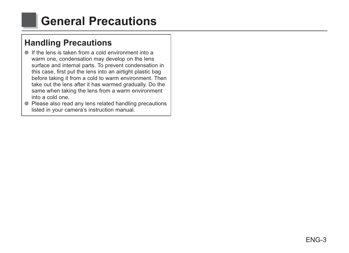### **General Precautions**

### **Handling Precautions**

- $\bullet$  If the lens is taken from a cold environment into a warm one, condensation may develop on the lens surface and internal parts. To prevent condensation in this case, first put the lens into an airtight plastic bag before taking it from a cold to warm environment. Then take out the lens after it has warmed gradually. Do the same when taking the lens from a warm environment eno blop s othi
- Please also read any lens related handling precautions listed in your camera's instruction manual.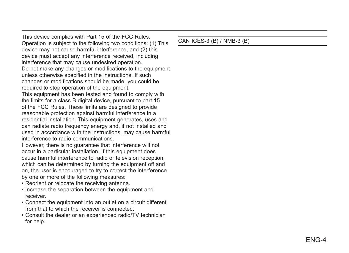This device complies with Part 15 of the FCC Rules. Operation is subject to the following two conditions: (1) This device may not cause harmful interference, and (2) this device must accept any interference received, including interference that may cause undesired operation. Do not make any changes or modifications to the equipment unless otherwise specified in the instructions. If such changes or modifications should be made, you could be required to stop operation of the equipment. This equipment has been tested and found to comply with the limits for a class B digital device, pursuant to part 15 of the FCC Rules. These limits are designed to provide reasonable protection against harmful interference in a residential installation. This equipment generates, uses and can radiate radio frequency energy and, if not installed and used in accordance with the instructions, may cause harmful interference to radio communications

However, there is no quarantee that interference will not occur in a particular installation. If this equipment does cause harmful interference to radio or television reception. which can be determined by turning the equipment off and on, the user is encouraged to try to correct the interference by one or more of the following measures:

- . Reorient or relocate the receiving antenna.
- Increase the separation between the equipment and receiver.
- Connect the equipment into an outlet on a circuit different from that to which the receiver is connected.
- Consult the dealer or an experienced radio/TV technician for help.

#### CAN ICES-3 (B) / NMB-3 (B)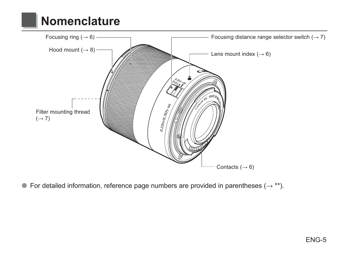### **Nomenclature**



• For detailed information, reference page numbers are provided in parentheses  $(\rightarrow$  \*\*).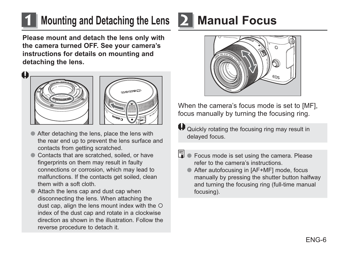### **1 Mounting and Detaching the Lens**

**Please mount and detach the lens only with the camera turned OFF. See your camera's instructions for details on mounting and detaching the lens.**





- After detaching the lens, place the lens with the rear end up to prevent the lens surface and contacts from getting scratched.
- Contacts that are scratched, soiled, or have fingerprints on them may result in faulty connections or corrosion, which may lead to malfunctions. If the contacts get soiled, clean them with a soft cloth
- Attach the lens cap and dust cap when disconnecting the lens. When attaching the dust cap. align the lens mount index with the  $\circ$ index of the dust cap and rotate in a clockwise direction as shown in the illustration Follow the reverse procedure to detach it.

### **2 Manual Focus**



When the camera's focus mode is set to IMFI. focus manually by turning the focusing ring.

 $\boldsymbol{\Theta}$  Quickly rotating the focusing ring may result in delaved focus.

- Focus mode is set using the camera. Please refer to the camera's instructions
	- After autofocusing in [AF+MF] mode, focus manually by pressing the shutter button halfway and turning the focusing ring (full-time manual focusing).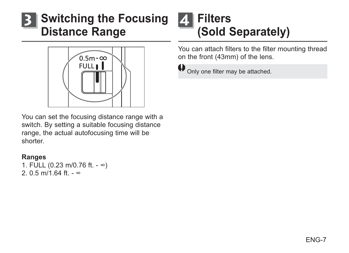### **Switching the Focusing Distance Range**



You can set the focusing distance range with a switch. By setting a suitable focusing distance range, the actual autofocusing time will be shorter

#### **Ranges**

1. FULL (0.23 m/0.76 ft. - ∞) 2 0.5 m/1 64 ft -  $\infty$ 

### **Filters** (Sold Separately)

You can attach filters to the filter mounting thread on the front (43mm) of the lens.



 $\bigoplus$  Only one filter may be attached.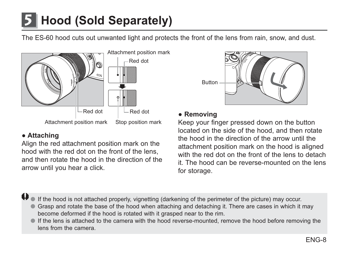## Hood (Sold Separately)

The ES-60 hood cuts out unwanted light and protects the front of the lens from rain, snow, and dust.



#### • Attaching

Align the red attachment position mark on the hood with the red dot on the front of the lens. and then rotate the hood in the direction of the arrow until you hear a click.



#### • Removing

Keep your finger pressed down on the button located on the side of the hood, and then rotate the hood in the direction of the arrow until the attachment position mark on the hood is aligned with the red dot on the front of the lens to detach it. The hood can be reverse-mounted on the lens for storage.

If the hood is not attached properly, vignetting (darkening of the perimeter of the picture) may occur.

- Grasp and rotate the base of the hood when attaching and detaching it. There are cases in which it may become deformed if the hood is rotated with it grasped near to the rim.
- If the lens is attached to the camera with the hood reverse-mounted, remove the hood before removing the lens from the camera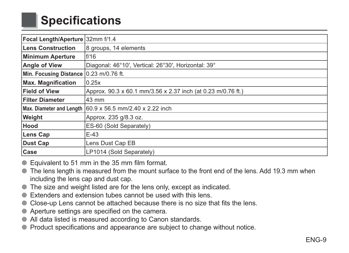### **Specifications**

| Focal Length/Aperture 32mm f/1.4       |                                                                         |
|----------------------------------------|-------------------------------------------------------------------------|
| Lens Construction                      | 8 groups, 14 elements                                                   |
| Minimum Aperture                       | f/16                                                                    |
| <b>Angle of View</b>                   | Diagonal: 46°10', Vertical: 26°30', Horizontal: 39°                     |
| Min. Focusing Distance 0.23 m/0.76 ft. |                                                                         |
| <b>Max. Magnification</b>              | 0.25x                                                                   |
| <b>Field of View</b>                   | Approx. 90.3 x 60.1 mm/3.56 x 2.37 inch (at 0.23 m/0.76 ft.)            |
| <b>Filter Diameter</b>                 | 43 mm                                                                   |
|                                        | Max. Diameter and Length $ 60.9 \times 56.5$ mm/2.40 $\times$ 2.22 inch |
| Weight                                 | Approx. 235 g/8.3 oz.                                                   |
| Hood                                   | ES-60 (Sold Separately)                                                 |
| <b>Lens Cap</b>                        | $E-43$                                                                  |
| Dust Cap                               | Lens Dust Cap EB                                                        |
| Case                                   | LP1014 (Sold Separately)                                                |

- Equivalent to 51 mm in the 35 mm film format.
- The lens length is measured from the mount surface to the front end of the lens. Add 19.3 mm when including the lens cap and dust cap.
- The size and weight listed are for the lens only, except as indicated.
- Extenders and extension tubes cannot be used with this lens.
- Close-up Lens cannot be attached because there is no size that fits the lens.
- Aperture settings are specified on the camera.
- All data listed is measured according to Canon standards.
- Product specifications and appearance are subject to change without notice.